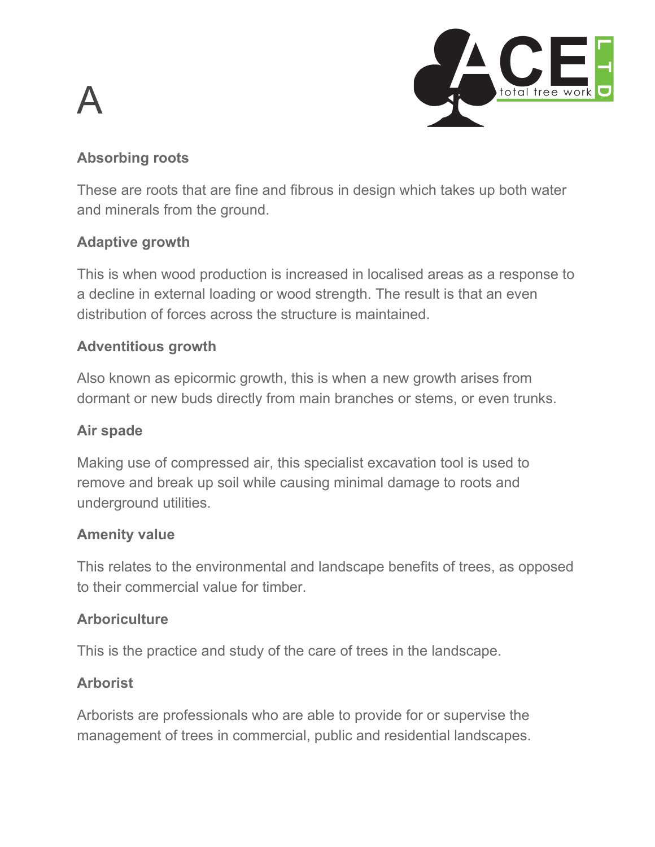# A



#### **Absorbing roots**

These are roots that are fine and fibrous in design which takes up both water and minerals from the ground.

#### **Adaptive growth**

This is when wood production is increased in localised areas as a response to a decline in external loading or wood strength. The result is that an even distribution of forces across the structure is maintained.

#### **Adventitious growth**

Also known as epicormic growth, this is when a new growth arises from dormant or new buds directly from main branches or stems, or even trunks.

#### **Air spade**

Making use of compressed air, this specialist excavation tool is used to remove and break up soil while causing minimal damage to roots and underground utilities.

#### **Amenity value**

This relates to the environmental and landscape benefits of trees, as opposed to their commercial value for timber.

#### **Arboriculture**

This is the practice and study of the care of trees in the landscape.

#### **Arborist**

Arborists are professionals who are able to provide for or supervise the management of trees in commercial, public and residential landscapes.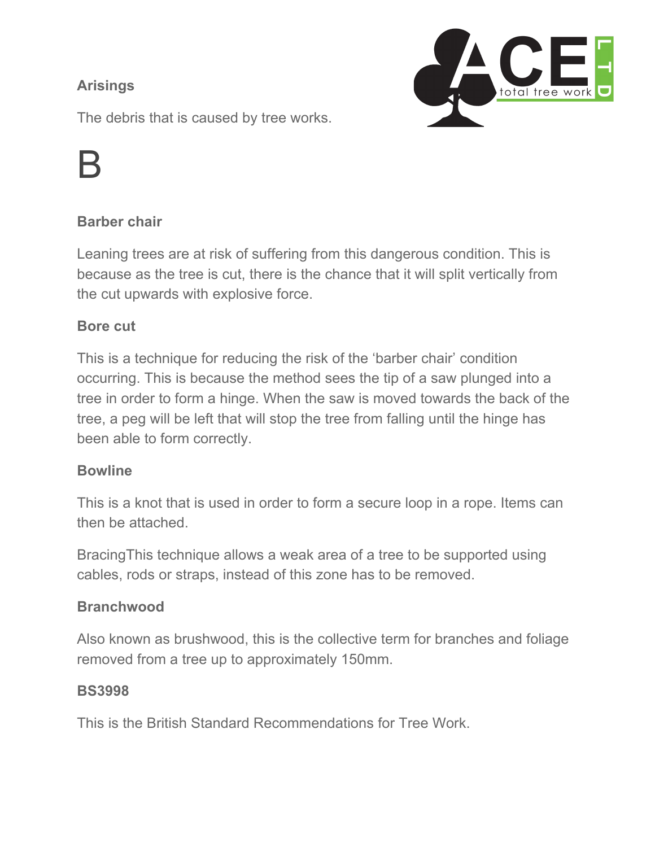#### **Arisings**



The debris that is caused by tree works.

### B

#### **Barber chair**

Leaning trees are at risk of suffering from this dangerous condition. This is because as the tree is cut, there is the chance that it will split vertically from the cut upwards with explosive force.

#### **Bore cut**

This is a technique for reducing the risk of the 'barber chair' condition occurring. This is because the method sees the tip of a saw plunged into a tree in order to form a hinge. When the saw is moved towards the back of the tree, a peg will be left that will stop the tree from falling until the hinge has been able to form correctly.

#### **Bowline**

This is a knot that is used in order to form a secure loop in a rope. Items can then be attached.

BracingThis technique allows a weak area of a tree to be supported using cables, rods or straps, instead of this zone has to be removed.

#### **Branchwood**

Also known as brushwood, this is the collective term for branches and foliage removed from a tree up to approximately 150mm.

#### **BS3998**

This is the British Standard Recommendations for Tree Work.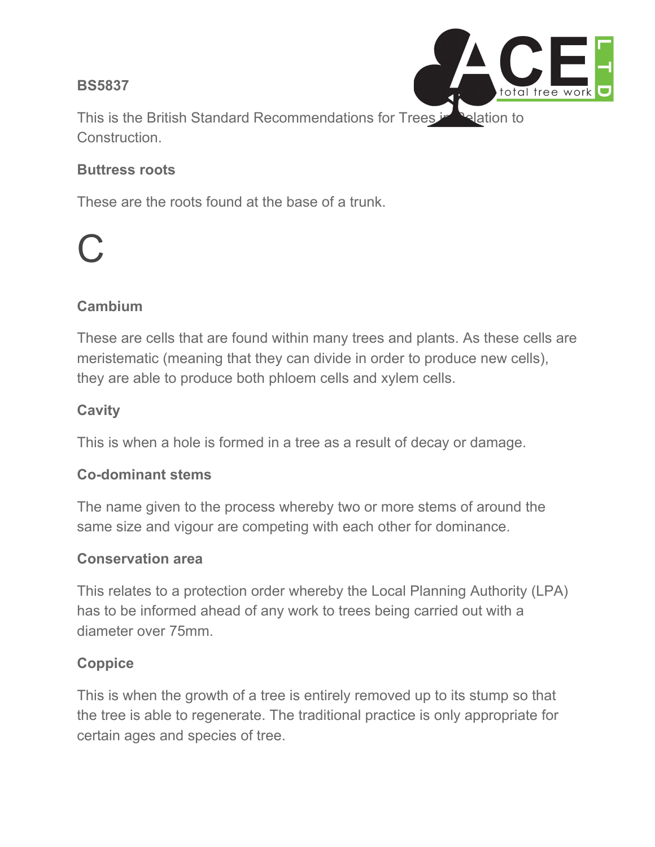#### **BS5837**



This is the British Standard Recommendations for Trees in Relation to Construction.

#### **Buttress roots**

These are the roots found at the base of a trunk.

## C

#### **Cambium**

These are cells that are found within many trees and plants. As these cells are meristematic (meaning that they can divide in order to produce new cells), they are able to produce both phloem cells and xylem cells.

#### **Cavity**

This is when a hole is formed in a tree as a result of decay or damage.

#### **Co-dominant stems**

The name given to the process whereby two or more stems of around the same size and vigour are competing with each other for dominance.

#### **Conservation area**

This relates to a protection order whereby the Local Planning Authority (LPA) has to be informed ahead of any work to trees being carried out with a diameter over 75mm.

#### **Coppice**

This is when the growth of a tree is entirely removed up to its stump so that the tree is able to regenerate. The traditional practice is only appropriate for certain ages and species of tree.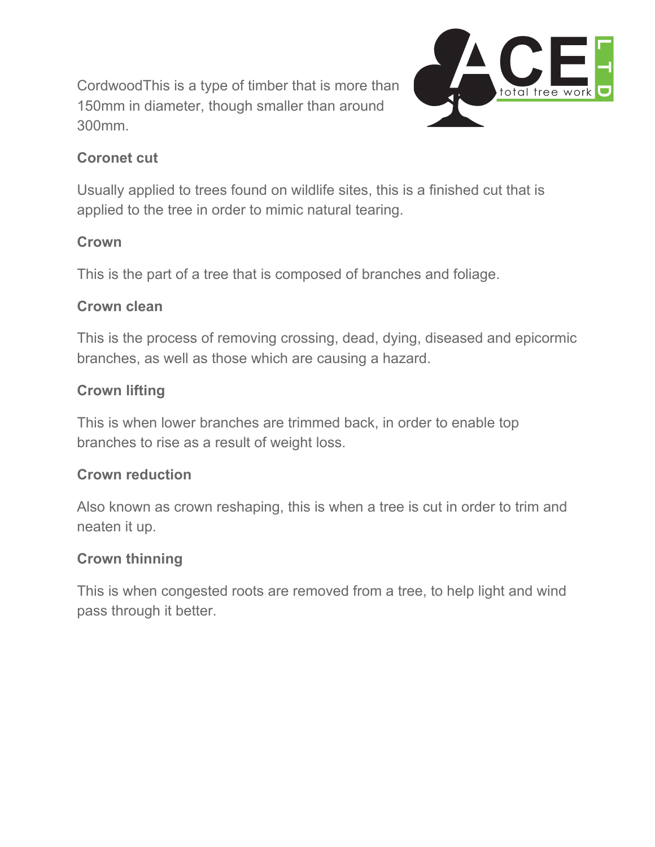CordwoodThis is a type of timber that is more than 150mm in diameter, though smaller than around 300mm.



#### **Coronet cut**

Usually applied to trees found on wildlife sites, this is a finished cut that is applied to the tree in order to mimic natural tearing.

#### **Crown**

This is the part of a tree that is composed of branches and foliage.

#### **Crown clean**

This is the process of removing crossing, dead, dying, diseased and epicormic branches, as well as those which are causing a hazard.

#### **Crown lifting**

This is when lower branches are trimmed back, in order to enable top branches to rise as a result of weight loss.

#### **Crown reduction**

Also known as crown reshaping, this is when a tree is cut in order to trim and neaten it up.

#### **Crown thinning**

This is when congested roots are removed from a tree, to help light and wind pass through it better.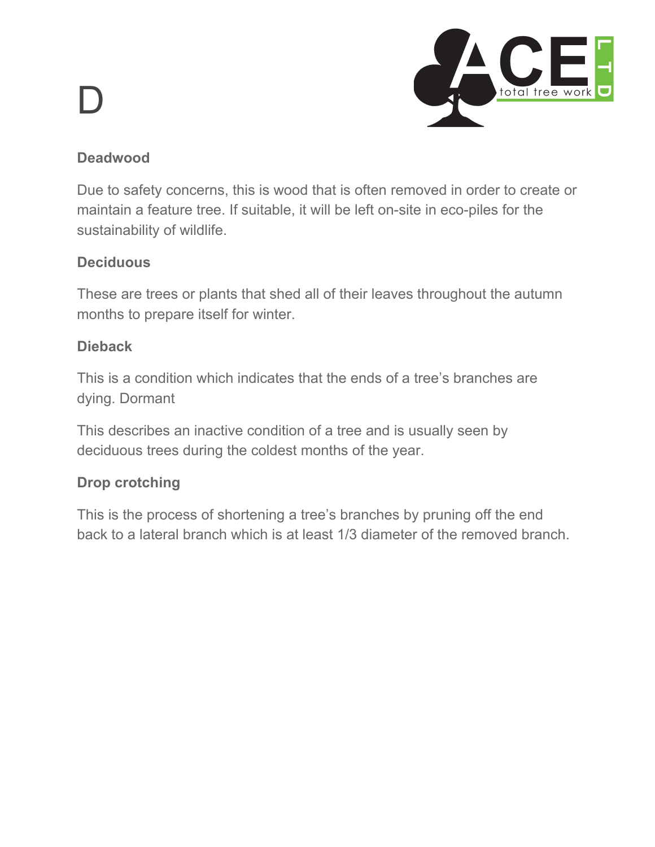# D



#### **Deadwood**

Due to safety concerns, this is wood that is often removed in order to create or maintain a feature tree. If suitable, it will be left on-site in eco-piles for the sustainability of wildlife.

#### **Deciduous**

These are trees or plants that shed all of their leaves throughout the autumn months to prepare itself for winter.

#### **Dieback**

This is a condition which indicates that the ends of a tree's branches are dying. Dormant

This describes an inactive condition of a tree and is usually seen by deciduous trees during the coldest months of the year.

#### **Drop crotching**

This is the process of shortening a tree's branches by pruning off the end back to a lateral branch which is at least 1/3 diameter of the removed branch.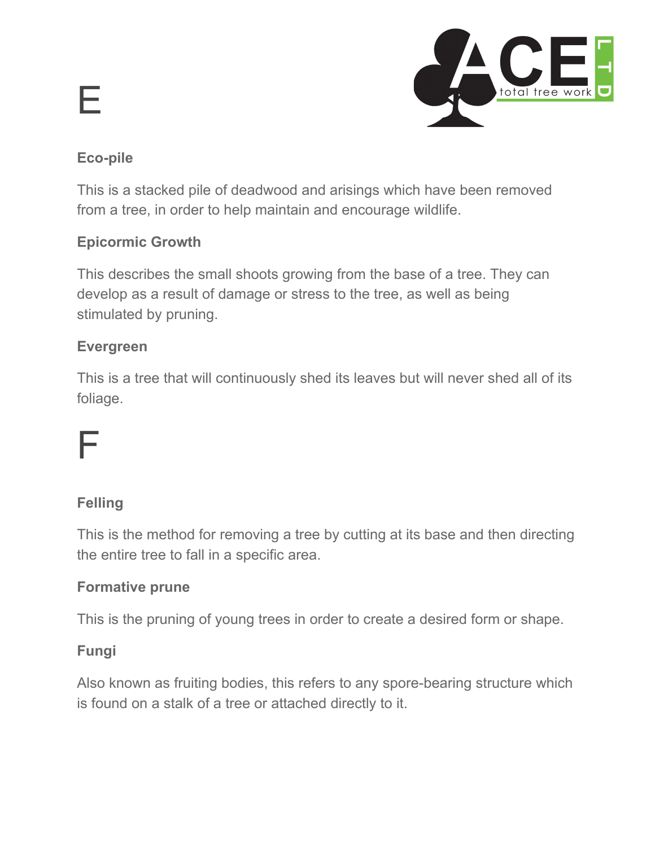# E



#### **Eco-pile**

This is a stacked pile of deadwood and arisings which have been removed from a tree, in order to help maintain and encourage wildlife.

#### **Epicormic Growth**

This describes the small shoots growing from the base of a tree. They can develop as a result of damage or stress to the tree, as well as being stimulated by pruning.

#### **Evergreen**

This is a tree that will continuously shed its leaves but will never shed all of its foliage.

### F

#### **Felling**

This is the method for removing a tree by cutting at its base and then directing the entire tree to fall in a specific area.

#### **Formative prune**

This is the pruning of young trees in order to create a desired form or shape.

#### **Fungi**

Also known as fruiting bodies, this refers to any spore-bearing structure which is found on a stalk of a tree or attached directly to it.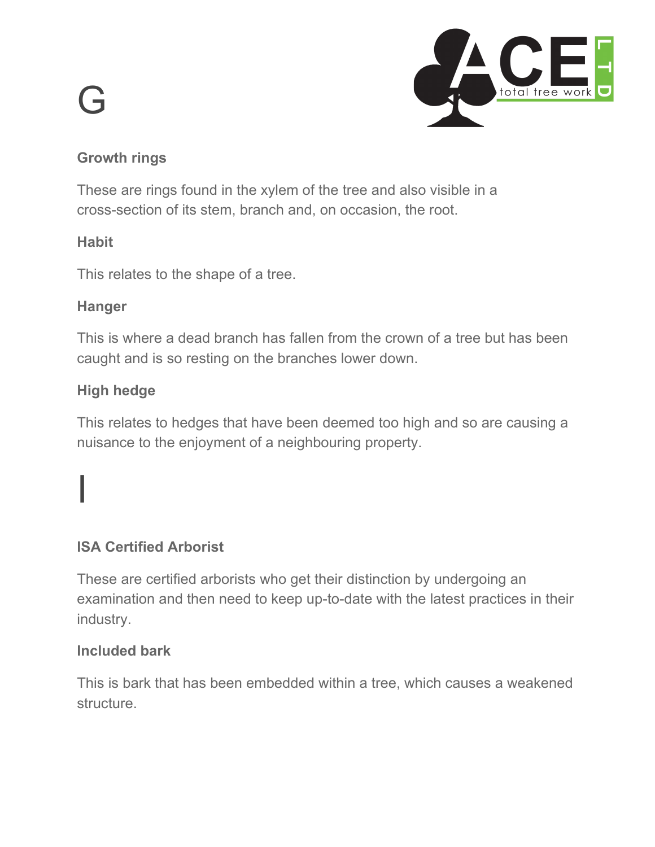# G



#### **Growth rings**

These are rings found in the xylem of the tree and also visible in a cross-section of its stem, branch and, on occasion, the root.

#### **Habit**

This relates to the shape of a tree.

#### **Hanger**

This is where a dead branch has fallen from the crown of a tree but has been caught and is so resting on the branches lower down.

#### **High hedge**

I

This relates to hedges that have been deemed too high and so are causing a nuisance to the enjoyment of a neighbouring property.

#### **ISA Certified Arborist**

These are certified arborists who get their distinction by undergoing an examination and then need to keep up-to-date with the latest practices in their industry.

#### **Included bark**

This is bark that has been embedded within a tree, which causes a weakened structure.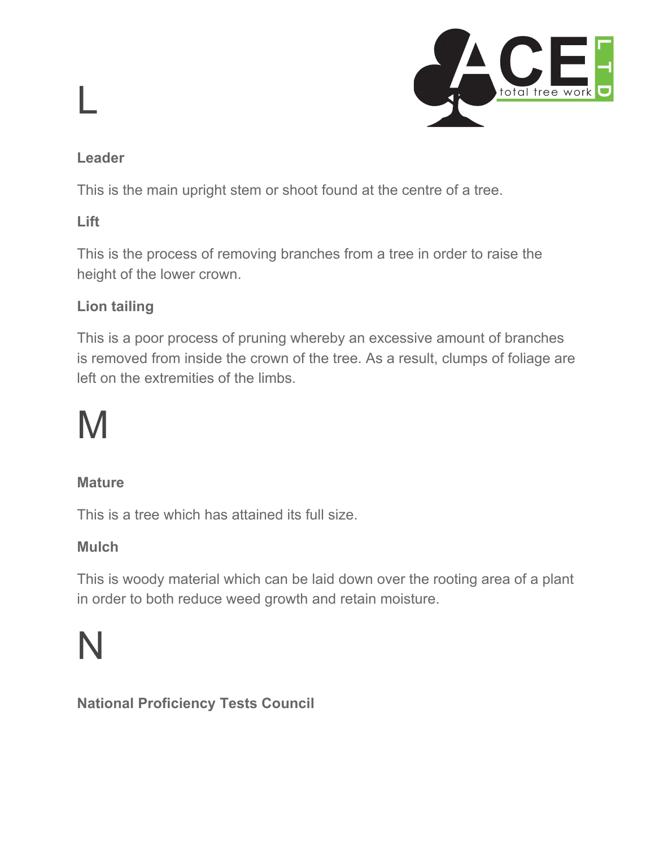

#### **Leader**

L

This is the main upright stem or shoot found at the centre of a tree.

#### **Lift**

This is the process of removing branches from a tree in order to raise the height of the lower crown.

#### **Lion tailing**

This is a poor process of pruning whereby an excessive amount of branches is removed from inside the crown of the tree. As a result, clumps of foliage are left on the extremities of the limbs.

## M

#### **Mature**

This is a tree which has attained its full size.

#### **Mulch**

This is woody material which can be laid down over the rooting area of a plant in order to both reduce weed growth and retain moisture.

### N

**National Proficiency Tests Council**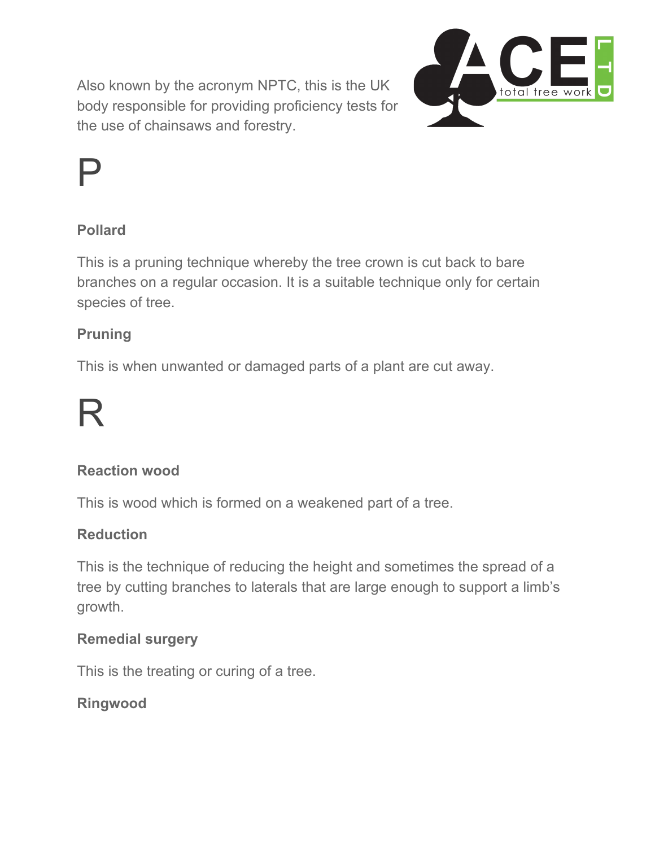Also known by the acronym NPTC, this is the UK body responsible for providing proficiency tests for the use of chainsaws and forestry.



## P

#### **Pollard**

This is a pruning technique whereby the tree crown is cut back to bare branches on a regular occasion. It is a suitable technique only for certain species of tree.

#### **Pruning**

This is when unwanted or damaged parts of a plant are cut away.

## R

#### **Reaction wood**

This is wood which is formed on a weakened part of a tree.

#### **Reduction**

This is the technique of reducing the height and sometimes the spread of a tree by cutting branches to laterals that are large enough to support a limb's growth.

#### **Remedial surgery**

This is the treating or curing of a tree.

#### **Ringwood**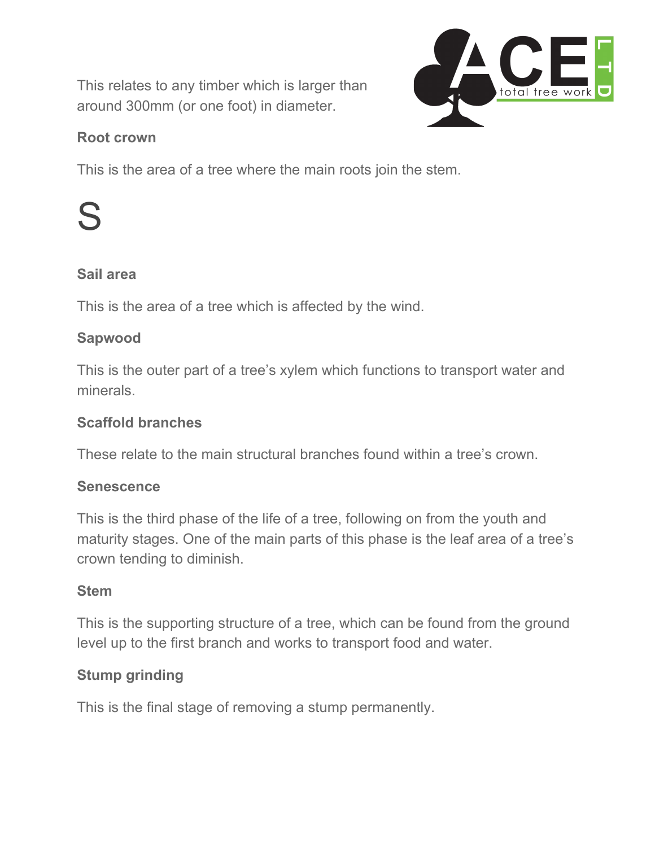This relates to any timber which is larger than around 300mm (or one foot) in diameter.



#### **Root crown**

This is the area of a tree where the main roots join the stem.

## S

#### **Sail area**

This is the area of a tree which is affected by the wind.

#### **Sapwood**

This is the outer part of a tree's xylem which functions to transport water and minerals.

#### **Scaffold branches**

These relate to the main structural branches found within a tree's crown.

#### **Senescence**

This is the third phase of the life of a tree, following on from the youth and maturity stages. One of the main parts of this phase is the leaf area of a tree's crown tending to diminish.

#### **Stem**

This is the supporting structure of a tree, which can be found from the ground level up to the first branch and works to transport food and water.

### **Stump grinding**

This is the final stage of removing a stump permanently.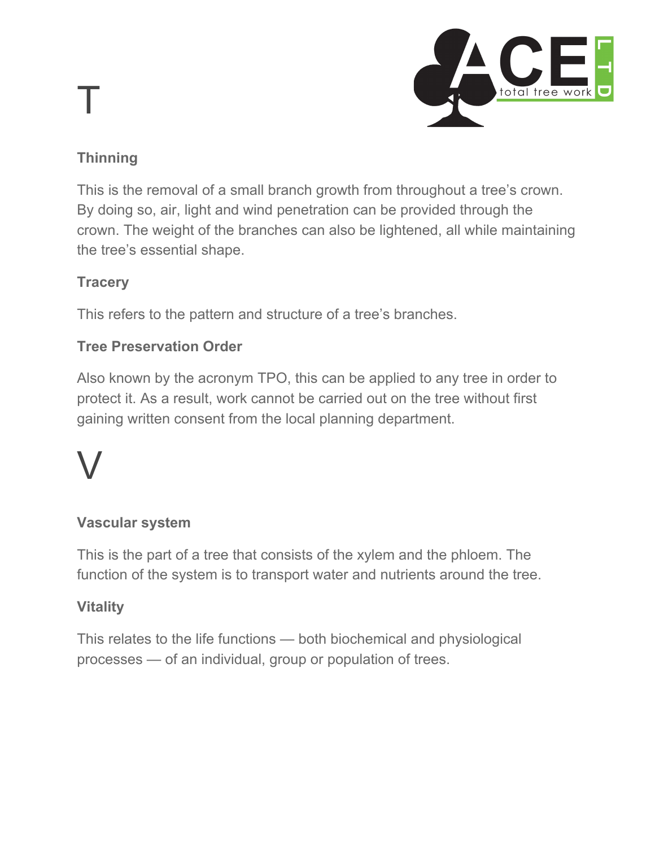# T



### **Thinning**

This is the removal of a small branch growth from throughout a tree's crown. By doing so, air, light and wind penetration can be provided through the crown. The weight of the branches can also be lightened, all while maintaining the tree's essential shape.

### **Tracery**

This refers to the pattern and structure of a tree's branches.

### **Tree Preservation Order**

Also known by the acronym TPO, this can be applied to any tree in order to protect it. As a result, work cannot be carried out on the tree without first gaining written consent from the local planning department.

# V

### **Vascular system**

This is the part of a tree that consists of the xylem and the phloem. The function of the system is to transport water and nutrients around the tree.

### **Vitality**

This relates to the life functions — both biochemical and physiological processes — of an individual, group or population of trees.